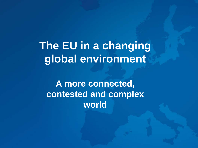**The EU in a changing global environment** 

**A more connected, contested and complex world**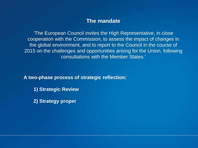#### **The mandate**

'The European Council invites the High Representative, in close cooperation with the Commission, to assess the impact of changes in the global environment, and to report to the Council in the course of 2015 on the challenges and opportunities arising for the Union, following consultations with the Member States.'

**A two-phase process of strategic reflection:** 

- **1) Strategic Review**
- **2) Strategy proper**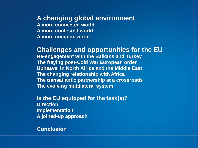#### **A changing global environment**

**A more connected world A more contested world A more complex world**

#### **Challenges and opportunities for the EU**

**Re-engagement with the Balkans and Turkey The fraying post-Cold War European order Upheaval in North Africa and the Middle East The changing relationship with Africa The transatlantic partnership at a crossroads The evolving multilateral system**

**Is the EU equipped for the task(s)? Direction Implementation A joined-up approach**

#### **Conclusion**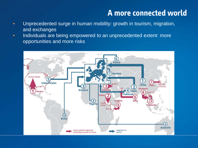# **A more connected world**

- Unprecedented surge in human mobility: growth in tourism, migration, and exchanges
- Individuals are being empowered to an unprecedented extent: more opportunities and more risks

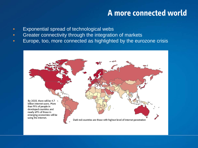#### **A more connected world**

- Exponential spread of technological webs
- Greater connectivity through the integration of markets
- Europe, too, more connected as highlighted by the eurozone crisis

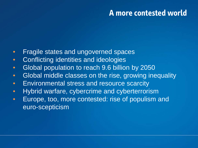#### **A more contested world**

- Fragile states and ungoverned spaces
- Conflicting identities and ideologies
- Global population to reach 9.6 billion by 2050
- Global middle classes on the rise, growing inequality
- Environmental stress and resource scarcity
- Hybrid warfare, cybercrime and cyberterrorism
- Europe, too, more contested: rise of populism and euro-scepticism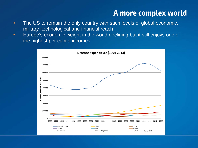- The US to remain the only country with such levels of global economic, military, technological and financial reach
- Europe's economic weight in the world declining but it still enjoys one of the highest per capita incomes

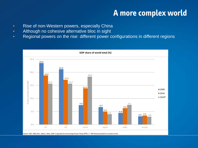- Rise of non-Western powers, especially China
- Although no cohesive alternative bloc in sight
- Regional powers on the rise: different power configurations in different regions



Source: IMF, WEO (Oct. 2014) | Note: GDP is adjusted for Purchasing Power Parity (PPP) | \* IMF forecast based on current trends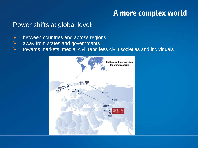#### Power shifts at global level:

- $\triangleright$  between countries and across regions
- $\triangleright$  away from states and governments
- towards markets, media, civil (and less civil) societies and individuals

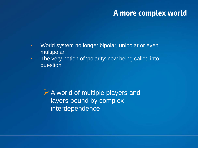- World system no longer bipolar, unipolar or even multipolar
- The very notion of 'polarity' now being called into question

A world of multiple players and layers bound by complex interdependence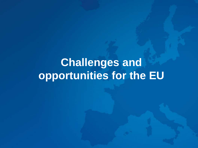# **Challenges and opportunities for the EU**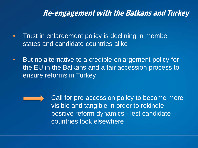#### **Re-engagement with the Balkans and Turkey**

- Trust in enlargement policy is declining in member states and candidate countries alike
- But no alternative to a credible enlargement policy for the EU in the Balkans and a fair accession process to ensure reforms in Turkey



Call for pre-accession policy to become more visible and tangible in order to rekindle positive reform dynamics - lest candidate countries look elsewhere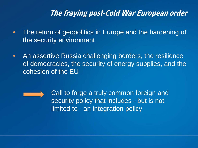### **The fraying post-Cold War European order**

- The return of geopolitics in Europe and the hardening of the security environment
- An assertive Russia challenging borders, the resilience of democracies, the security of energy supplies, and the cohesion of the EU

Call to forge a truly common foreign and security policy that includes - but is not limited to - an integration policy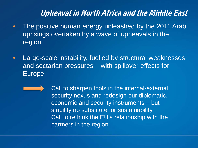# **Upheaval in North Africa and the Middle East**

- The positive human energy unleashed by the 2011 Arab uprisings overtaken by a wave of upheavals in the region
- Large-scale instability, fuelled by structural weaknesses and sectarian pressures – with spillover effects for Europe
	- Call to sharpen tools in the internal-external security nexus and redesign our diplomatic, economic and security instruments – but stability no substitute for sustainability Call to rethink the EU's relationship with the partners in the region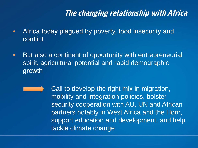# **The changing relationship with Africa**

- Africa today plagued by poverty, food insecurity and conflict
- But also a continent of opportunity with entrepreneurial spirit, agricultural potential and rapid demographic growth
	- Call to develop the right mix in migration, mobility and integration policies, bolster security cooperation with AU, UN and African partners notably in West Africa and the Horn, support education and development, and help tackle climate change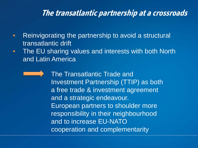#### **The transatlantic partnership at a crossroads**

- Reinvigorating the partnership to avoid a structural transatlantic drift
- The EU sharing values and interests with both North and Latin America
	- The Transatlantic Trade and Investment Partnership (TTIP) as both a free trade & investment agreement and a strategic endeavour. European partners to shoulder more responsibility in their neighbourhood and to increase EU-NATO cooperation and complementarity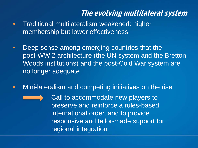# **The evolving multilateral system**

- Traditional multilateralism weakened: higher membership but lower effectiveness
- Deep sense among emerging countries that the post-WW 2 architecture (the UN system and the Bretton Woods institutions) and the post-Cold War system are no longer adequate
- Mini-lateralism and competing initiatives on the rise

Call to accommodate new players to preserve and reinforce a rules-based international order, and to provide responsive and tailor-made support for regional integration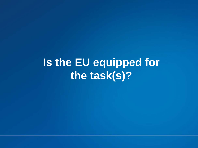**Is the EU equipped for the task(s)?**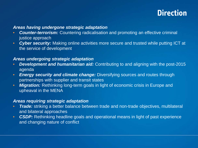### **Direction**

#### *Areas having undergone strategic adaptation*

- *Counter-terrorism:* Countering radicalisation and promoting an effective criminal justice approach
- *Cyber security:* Making online activities more secure and trusted while putting ICT at the service of development

#### *Areas undergoing strategic adaptation*

- *Development and humanitarian aid:* Contributing to and aligning with the post-2015 agenda
- *Energy security and climate change:* Diversifying sources and routes through partnerships with supplier and transit states
- **Migration:** Rethinking long-term goals in light of economic crisis in Europe and upheaval in the MENA

#### *Areas requiring strategic adaptation*

- *Trade:* striking a better balance between trade and non-trade objectives, multilateral and bilateral approaches
- **CSDP:** Rethinking headline goals and operational means in light of past experience and changing nature of conflict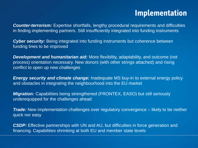#### **Implementation**

*Counter-terrorism:* Expertise shortfalls, lengthy procedural requirements and difficulties in finding implementing partners. Still insufficiently integrated into funding instruments

**Cyber security:** Being integrated into funding instruments but coherence between funding lines to be improved

*Development and humanitarian aid:* More flexibility, adaptability, and outcome (not process) orientation necessary. New donors (with other strings attached) and rising conflict to open up new challenges

*Energy security and climate change:* Inadequate MS buy-in to external energy policy and obstacles in integrating the neighbourhood into the EU market

*Migration:* Capabilities being strengthened (FRONTEX, EASO) but still seriously underequipped for the challenges ahead

*Trade:* New implementation challenges over regulatory convergence – likely to be neither quick nor easy

**CSDP:** Effective partnerships with UN and AU, but difficulties in force generation and financing. Capabilities shrinking at both EU and member state levels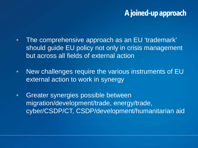### **A joined-up approach**

- The comprehensive approach as an EU 'trademark' should guide EU policy not only in crisis management but across all fields of external action
- New challenges require the various instruments of EU external action to work in synergy
- Greater synergies possible between migration/development/trade, energy/trade, cyber/CSDP/CT, CSDP/development/humanitarian aid